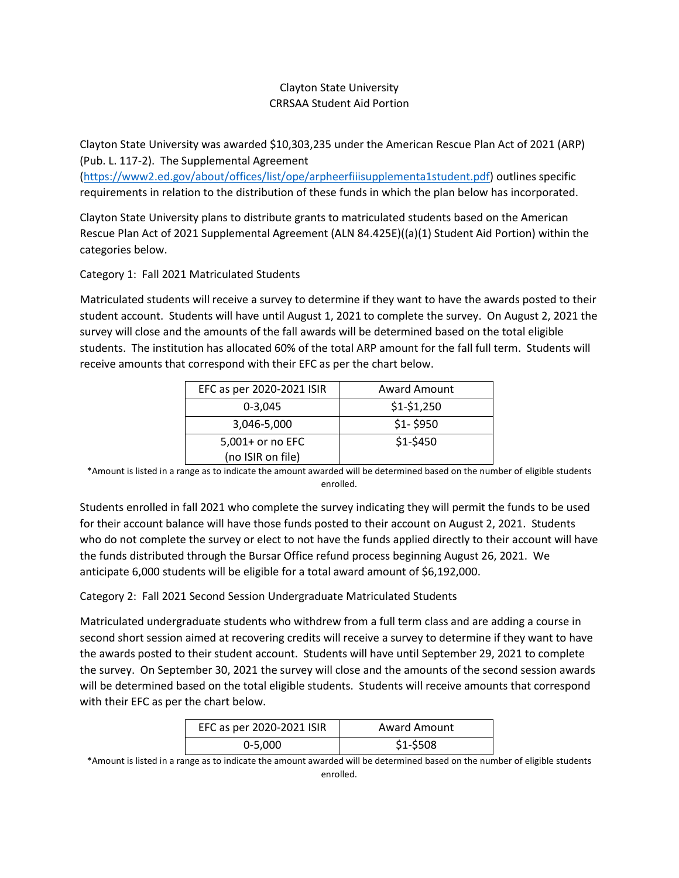# Clayton State University CRRSAA Student Aid Portion

Clayton State University was awarded \$10,303,235 under the American Rescue Plan Act of 2021 (ARP) (Pub. L. 117-2). The Supplemental Agreement

[\(https://www2.ed.gov/about/offices/list/ope/arpheerfiiisupplementa1student.pdf\)](https://www2.ed.gov/about/offices/list/ope/arpheerfiiisupplementa1student.pdf) outlines specific requirements in relation to the distribution of these funds in which the plan below has incorporated.

Clayton State University plans to distribute grants to matriculated students based on the American Rescue Plan Act of 2021 Supplemental Agreement (ALN 84.425E)((a)(1) Student Aid Portion) within the categories below.

#### Category 1: Fall 2021 Matriculated Students

Matriculated students will receive a survey to determine if they want to have the awards posted to their student account. Students will have until August 1, 2021 to complete the survey. On August 2, 2021 the survey will close and the amounts of the fall awards will be determined based on the total eligible students. The institution has allocated 60% of the total ARP amount for the fall full term. Students will receive amounts that correspond with their EFC as per the chart below.

| EFC as per 2020-2021 ISIR | <b>Award Amount</b> |
|---------------------------|---------------------|
| $0 - 3.045$               | $$1-$1,250$         |
| 3,046-5,000               | $$1 - $950$         |
| 5,001+ or no EFC          | $$1-$450$           |
| (no ISIR on file)         |                     |

\*Amount is listed in a range as to indicate the amount awarded will be determined based on the number of eligible students enrolled.

Students enrolled in fall 2021 who complete the survey indicating they will permit the funds to be used for their account balance will have those funds posted to their account on August 2, 2021. Students who do not complete the survey or elect to not have the funds applied directly to their account will have the funds distributed through the Bursar Office refund process beginning August 26, 2021. We anticipate 6,000 students will be eligible for a total award amount of \$6,192,000.

### Category 2: Fall 2021 Second Session Undergraduate Matriculated Students

Matriculated undergraduate students who withdrew from a full term class and are adding a course in second short session aimed at recovering credits will receive a survey to determine if they want to have the awards posted to their student account. Students will have until September 29, 2021 to complete the survey. On September 30, 2021 the survey will close and the amounts of the second session awards will be determined based on the total eligible students. Students will receive amounts that correspond with their EFC as per the chart below.

| EFC as per 2020-2021 ISIR | <b>Award Amount</b> |
|---------------------------|---------------------|
| $0 - 5,000$               | $$1-$508$           |

\*Amount is listed in a range as to indicate the amount awarded will be determined based on the number of eligible students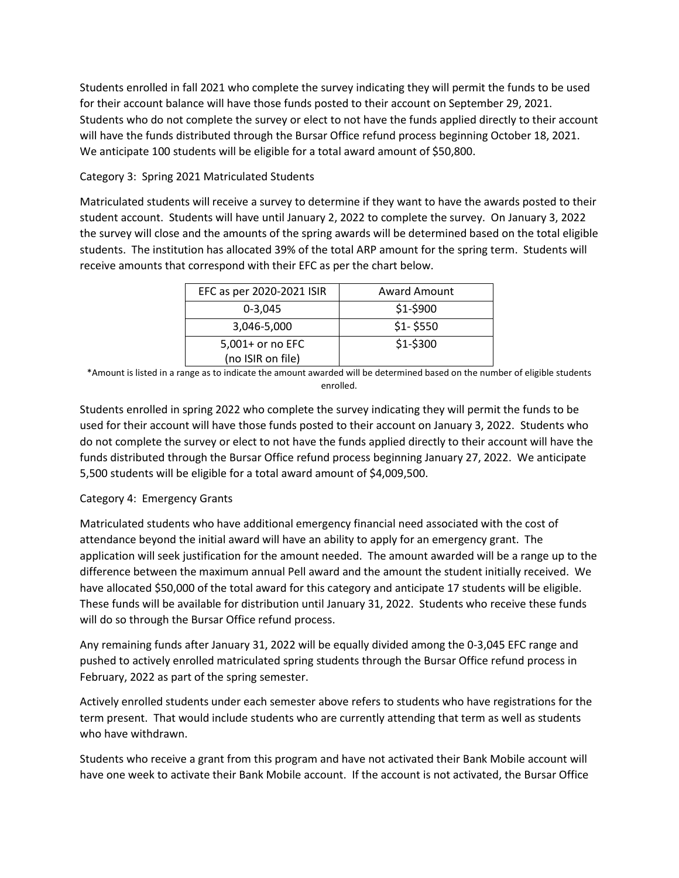Students enrolled in fall 2021 who complete the survey indicating they will permit the funds to be used for their account balance will have those funds posted to their account on September 29, 2021. Students who do not complete the survey or elect to not have the funds applied directly to their account will have the funds distributed through the Bursar Office refund process beginning October 18, 2021. We anticipate 100 students will be eligible for a total award amount of \$50,800.

# Category 3: Spring 2021 Matriculated Students

Matriculated students will receive a survey to determine if they want to have the awards posted to their student account. Students will have until January 2, 2022 to complete the survey. On January 3, 2022 the survey will close and the amounts of the spring awards will be determined based on the total eligible students. The institution has allocated 39% of the total ARP amount for the spring term. Students will receive amounts that correspond with their EFC as per the chart below.

| EFC as per 2020-2021 ISIR | <b>Award Amount</b> |
|---------------------------|---------------------|
| $0 - 3.045$               | $$1-$900$           |
| 3,046-5,000               | $$1 - $550$         |
| 5,001+ or no EFC          | $$1-$300$           |
| (no ISIR on file)         |                     |

\*Amount is listed in a range as to indicate the amount awarded will be determined based on the number of eligible students enrolled.

Students enrolled in spring 2022 who complete the survey indicating they will permit the funds to be used for their account will have those funds posted to their account on January 3, 2022. Students who do not complete the survey or elect to not have the funds applied directly to their account will have the funds distributed through the Bursar Office refund process beginning January 27, 2022. We anticipate 5,500 students will be eligible for a total award amount of \$4,009,500.

### Category 4: Emergency Grants

Matriculated students who have additional emergency financial need associated with the cost of attendance beyond the initial award will have an ability to apply for an emergency grant. The application will seek justification for the amount needed. The amount awarded will be a range up to the difference between the maximum annual Pell award and the amount the student initially received. We have allocated \$50,000 of the total award for this category and anticipate 17 students will be eligible. These funds will be available for distribution until January 31, 2022. Students who receive these funds will do so through the Bursar Office refund process.

Any remaining funds after January 31, 2022 will be equally divided among the 0-3,045 EFC range and pushed to actively enrolled matriculated spring students through the Bursar Office refund process in February, 2022 as part of the spring semester.

Actively enrolled students under each semester above refers to students who have registrations for the term present. That would include students who are currently attending that term as well as students who have withdrawn.

Students who receive a grant from this program and have not activated their Bank Mobile account will have one week to activate their Bank Mobile account. If the account is not activated, the Bursar Office